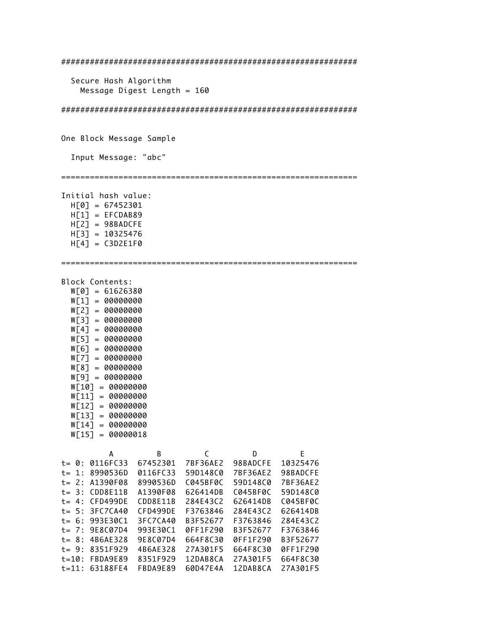############################################################## Secure Hash Algorithm Message Digest Length = 160 ############################################################## One Block Message Sample Input Message: "abc" ============================================================== Initial hash value: H[0] = 67452301  $H[1] = EFCDAB89$  $H[2] = 98BADCFE$  H[3] = 10325476  $H[4] = C3D2E1F0$ ============================================================== Block Contents: W[0] = 61626380 W[1] = 00000000 W[2] = 00000000 W[3] = 00000000 W[4] = 00000000 W[5] = 00000000 W[6] = 00000000 W[7] = 00000000 W[8] = 00000000 W[9] = 00000000 W[10] = 00000000 W[11] = 00000000 W[12] = 00000000 W[13] = 00000000 W[14] = 00000000 W[15] = 00000018 A B C D E t= 0: 0116FC33 67452301 7BF36AE2 98BADCFE 10325476 t= 1: 8990536D 0116FC33 59D148C0 7BF36AE2 98BADCFE t= 2: A1390F08 8990536D C045BF0C 59D148C0 7BF36AE2 t= 3: CDD8E11B A1390F08 626414DB C045BF0C 59D148C0 t= 4: CFD499DE CDD8E11B 284E43C2 626414DB C045BF0C t= 5: 3FC7CA40 CFD499DE F3763846 284E43C2 626414DB t= 6: 993E30C1 3FC7CA40 B3F52677 F3763846 284E43C2 t= 7: 9E8C07D4 993E30C1 0FF1F290 B3F52677 F3763846 t= 8: 4B6AE328 9E8C07D4 664F8C30 0FF1F290 B3F52677 t= 9: 8351F929 4B6AE328 27A301F5 664F8C30 0FF1F290 t=10: FBDA9E89 8351F929 12DAB8CA 27A301F5 664F8C30 t=11: 63188FE4 FBDA9E89 60D47E4A 12DAB8CA 27A301F5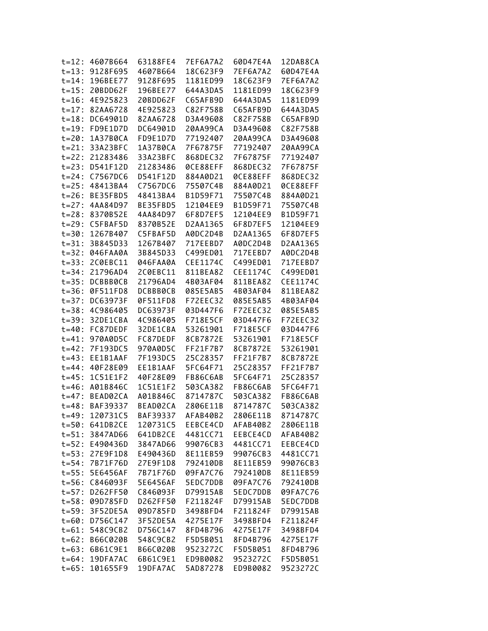| $t = 12:$  | 4607B664 | 63188FE4 | 7EF6A7A2 | 60D47E4A             | 12DAB8CA |
|------------|----------|----------|----------|----------------------|----------|
| $t = 13:$  | 9128F695 | 4607B664 | 18C623F9 | 7EF6A7A2             | 60D47E4A |
| $t = 14$ : | 196BEE77 | 9128F695 | 1181ED99 | 18C623F9             | 7EF6A7A2 |
| $t = 15:$  | 20BDD62F | 196BEE77 | 644A3DA5 | 1181ED99             | 18C623F9 |
| $t = 16:$  | 4E925823 | 20BDD62F | C65AFB9D | 644A3DA5             | 1181ED99 |
| $t = 17:$  | 82AA6728 | 4E925823 | C82F758B | C65AFB9D             | 644A3DA5 |
| $t = 18:$  | DC64901D | 82AA6728 | D3A49608 | C82F758B             | C65AFB9D |
| $t = 19:$  | FD9E1D7D | DC64901D | 20AA99CA | D3A49608             | C82F758B |
| $t = 20:$  | 1A37B0CA | FD9E1D7D | 77192407 | 20AA99CA             | D3A49608 |
| $t = 21:$  | 33A23BFC | 1A37B0CA | 7F67875F | 77192407             | 20AA99CA |
| $t = 22:$  | 21283486 | 33A23BFC | 868DEC32 | 7F67875F             | 77192407 |
| $t = 23:$  | D541F12D | 21283486 | 0CE88EFF | 868DEC32             | 7F67875F |
| $t = 24:$  | C7567DC6 | D541F12D | 884A0D21 | 0CE88EFF             | 868DEC32 |
| $t = 25:$  | 48413BA4 | C7567DC6 | 75507C4B | 884A0D21             | 0CE88EFF |
| $t = 26:$  | BE35FBD5 | 48413BA4 | B1D59F71 | 75507C4B             | 884A0D21 |
| $t = 27:$  | 4AA84D97 | BE35FBD5 | 12104EE9 | B1D59F71             | 75507C4B |
| $t = 28:$  | 8370B52E | 4AA84D97 | 6F8D7EF5 | 12104EE9             | B1D59F71 |
|            |          | 8370B52E | D2AA1365 |                      | 12104EE9 |
| $t = 29:$  | C5FBAF5D |          |          | 6F8D7EF5<br>D2AA1365 | 6F8D7EF5 |
| $t = 30:$  | 1267B407 | C5FBAF5D | A0DC2D4B |                      |          |
| $t = 31:$  | 3B845D33 | 1267B407 | 717EEBD7 | A0DC2D4B             | D2AA1365 |
| $t = 32:$  | 046FAA0A | 3B845D33 | C499ED01 | 717EEBD7             | A0DC2D4B |
| $t = 33:$  | 2C0EBC11 | 046FAA0A | CEE1174C | C499ED01             | 717EEBD7 |
| $t = 34:$  | 21796AD4 | 2C0EBC11 | 811BEA82 | CEE1174C             | C499ED01 |
| $t = 35:$  | DCBBB0CB | 21796AD4 | 4B03AF04 | 811BEA82             | CEE1174C |
| $t = 36:$  | 0F511FD8 | DCBBB0CB | 085E5AB5 | 4B03AF04             | 811BEA82 |
| $t = 37:$  | DC63973F | 0F511FD8 | F72EEC32 | 085E5AB5             | 4B03AF04 |
| $t = 38:$  | 4C986405 | DC63973F | 03D447F6 | F72EEC32             | 085E5AB5 |
| $t = 39:$  | 32DE1CBA | 4C986405 | F718E5CF | 03D447F6             | F72EEC32 |
| $t = 40:$  | FC87DEDF | 32DE1CBA | 53261901 | F718E5CF             | 03D447F6 |
| $t = 41$ : | 970A0D5C | FC87DEDF | 8CB7872E | 53261901             | F718E5CF |
| $t = 42:$  | 7F193DC5 | 970A0D5C | FF21F7B7 | 8CB7872E             | 53261901 |
| $t = 43:$  | EE1B1AAF | 7F193DC5 | 25C28357 | FF21F7B7             | 8CB7872E |
| $t = 44:$  | 40F28E09 | EE1B1AAF | 5FC64F71 | 25C28357             | FF21F7B7 |
| $t = 45:$  | 1C51E1F2 | 40F28E09 | FB86C6AB | 5FC64F71             | 25C28357 |
| $t = 46:$  | A01B846C | 1C51E1F2 | 503CA382 | FB86C6AB             | 5FC64F71 |
| $t = 47:$  | BEAD02CA | A01B846C | 8714787C | 503CA382             | FB86C6AB |
| $t = 48:$  | BAF39337 | BEAD02CA | 2806E11B | 8714787C             | 503CA382 |
| $t = 49:$  | 120731C5 | BAF39337 | AFAB40B2 | 2806E11B             | 8714787C |
| $t = 50:$  | 641DB2CE | 120731C5 | EEBCE4CD | AFAB40B2             | 2806E11B |
| $t = 51:$  | 3847AD66 | 641DB2CE | 4481CC71 | EEBCE4CD             | AFAB40B2 |
| $t = 52:$  | E490436D | 3847AD66 | 99076CB3 | 4481CC71             | EEBCE4CD |
| $t = 53:$  | 27E9F1D8 | E490436D | 8E11EB59 | 99076CB3             | 4481CC71 |
| $t = 54:$  | 7B71F76D | 27E9F1D8 | 792410DB | 8E11EB59             | 99076CB3 |
| $t = 55:$  | 5E6456AF | 7B71F76D | 09FA7C76 | 792410DB             | 8E11EB59 |
| $t = 56:$  | C846093F | 5E6456AF | 5EDC7DDB | 09FA7C76             | 792410DB |
| $t = 57:$  | D262FF50 | C846093F | D79915AB | 5EDC7DDB             | 09FA7C76 |
| $t = 58:$  | 09D785FD | D262FF50 | F211824F | D79915AB             | 5EDC7DDB |
| $t = 59:$  | 3F52DE5A | 09D785FD | 3498BFD4 | F211824F             | D79915AB |
| $t = 60:$  | D756C147 | 3F52DE5A | 4275E17F | 3498BFD4             | F211824F |
| $t = 61:$  | 548C9CB2 | D756C147 | 8FD4B796 | 4275E17F             | 3498BFD4 |
| $t = 62:$  | B66C020B | 548C9CB2 | F5D5B051 | 8FD4B796             | 4275E17F |
| $t = 63:$  | 6B61C9E1 | B66C020B | 9523272C | F5D5B051             | 8FD4B796 |
| $t = 64:$  | 19DFA7AC | 6B61C9E1 | ED9B0082 | 9523272C             | F5D5B051 |
| $t = 65:$  | 101655F9 | 19DFA7AC | 5AD87278 | ED9B0082             | 9523272C |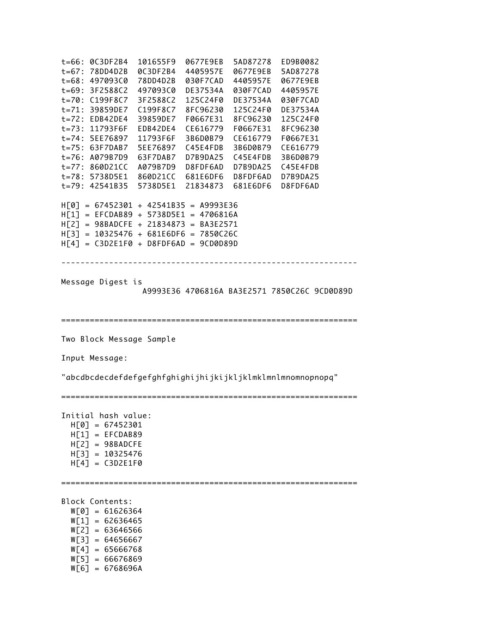------------------------------------------------------------- t=66: 0C3DF2B4 101655F9 0677E9EB 5AD87278 ED9B0082 t=67: 78DD4D2B 0C3DF2B4 4405957E 0677E9EB 5AD87278 t=68: 497093C0 78DD4D2B 030F7CAD 4405957E 0677E9EB t=69: 3F2588C2 497093C0 DE37534A 030F7CAD 4405957E t=70: C199F8C7 3F2588C2 125C24F0 DE37534A 030F7CAD t=71: 39859DE7 C199F8C7 8FC96230 125C24F0 DE37534A t=72: EDB42DE4 39859DE7 F0667E31 8FC96230 125C24F0 t=73: 11793F6F EDB42DE4 CE616779 F0667E31 8FC96230 t=74: 5EE76897 11793F6F 3B6D0B79 CE616779 F0667E31 t=75: 63F7DAB7 5EE76897 C45E4FDB 3B6D0B79 CE616779 t=76: A079B7D9 63F7DAB7 D7B9DA25 C45E4FDB 3B6D0B79 t=77: 860D21CC A079B7D9 D8FDF6AD D7B9DA25 C45E4FDB t=78: 5738D5E1 860D21CC 681E6DF6 D8FDF6AD D7B9DA25 t=79: 42541B35 5738D5E1 21834873 681E6DF6 D8FDF6AD H[0] = 67452301 + 42541B35 = A9993E36 H[1] = EFCDAB89 + 5738D5E1 = 4706816A H[2] = 98BADCFE + 21834873 = BA3E2571  $H[3] = 10325476 + 681E6DF6 = 7850C26C$  $H[4] = C3D2E1F0 + D8FDF6AD = 9CD0D89D$ Message Digest is A9993E36 4706816A BA3E2571 7850C26C 9CD0D89D ============================================================== Two Block Message Sample Input Message: "abcdbcdecdefdefgefghfghighijhijkijkljklmklmnlmnomnopnopq" ============================================================== Initial hash value: H[0] = 67452301  $H[1] = EFCDAB89$  $H[2] = 98BADCFE$  H[3] = 10325476  $H[4] = C3D2E1F0$ ============================================================== Block Contents: W[0] = 61626364  $W[1] = 62636465$  $W[2] = 63646566$  $W[3] = 64656667$  $W[4] = 65666768$  $W[5] = 66676869$  $W[6] = 6768696A$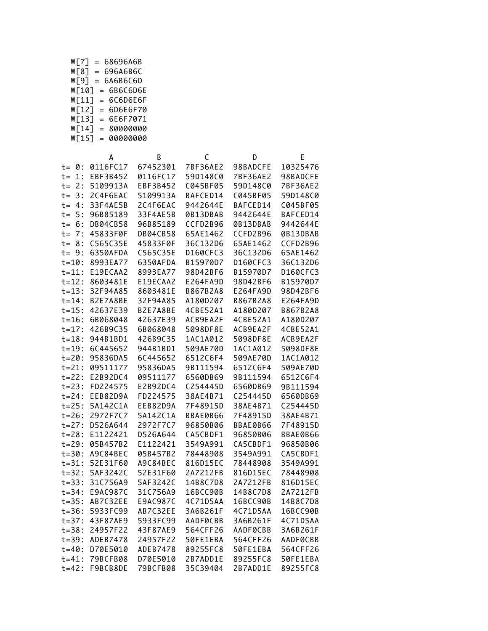| W[7]  | $=$ | 68696A6B |
|-------|-----|----------|
| W[8]  | $=$ | 696A6B6C |
| Wſ91  | $=$ | 6A6B6C6D |
| W[10] | $=$ | 6B6C6D6E |
| W[11] | $=$ | 6C6D6E6F |
| W[12] | $=$ | 6D6E6F70 |
| W[13] | $=$ | 6E6F7071 |
| WΓ14] | $=$ | 80000000 |
| W[15] | $=$ | 00000000 |

|           | А               | B        | C        | D        | Ε        |
|-----------|-----------------|----------|----------|----------|----------|
| $t = 0:$  | 0116FC17        | 67452301 | 7BF36AE2 | 98BADCFE | 10325476 |
| $t = 1:$  | EBF3B452        | 0116FC17 | 59D148C0 | 7BF36AE2 | 98BADCFE |
| $t = 2:$  | 5109913A        | EBF3B452 | C045BF05 | 59D148C0 | 7BF36AE2 |
| $t = 3:$  | 2C4F6EAC        | 5109913A | BAFCED14 | C045BF05 | 59D148C0 |
| $t = 4:$  | 33F4AE5B        | 2C4F6EAC | 9442644E | BAFCED14 | C045BF05 |
| $t = 5:$  | 96B85189        | 33F4AE5B | 0B13DBAB | 9442644E | BAFCED14 |
| $t = 6:$  | <b>DB04CB58</b> | 96B85189 | CCFD2B96 | 0B13DBAB | 9442644E |
| $t = 7:$  | 45833F0F        | DB04CB58 | 65AE1462 | CCFD2B96 | 0B13DBAB |
| $t = 8:$  | C565C35E        | 45833F0F | 36C132D6 | 65AE1462 | CCFD2B96 |
| $t = 9:$  | 6350AFDA        | C565C35E | D160CFC3 | 36C132D6 | 65AE1462 |
| $t = 10:$ | 8993EA77        | 6350AFDA | B15970D7 | D160CFC3 | 36C132D6 |
| $t = 11:$ | E19ECAA2        | 8993EA77 | 98D42BF6 | B15970D7 | D160CFC3 |
| $t = 12:$ | 8603481E        | E19ECAA2 | E264FA9D | 98D42BF6 | B15970D7 |
| $t = 13:$ | 32F94A85        | 8603481E | B867B2A8 | E264FA9D | 98D42BF6 |
| $t = 14:$ | B2E7A8BE        | 32F94A85 | A180D207 | B867B2A8 | E264FA9D |
| $t = 15:$ | 42637E39        | B2E7A8BE | 4CBE52A1 | A180D207 | B867B2A8 |
| $t = 16:$ | 6B068048        | 42637E39 | ACB9EA2F | 4CBE52A1 | A180D207 |
| $t = 17:$ | 426B9C35        | 6B068048 | 5098DF8E | ACB9EA2F | 4CBE52A1 |
| $t = 18:$ | 944B1BD1        | 426B9C35 | 1AC1A012 | 5098DF8E | ACB9EA2F |
| $t = 19:$ | 6C445652        | 944B1BD1 | 509AE70D | 1AC1A012 | 5098DF8E |
| $t = 20:$ | 95836DA5        | 6C445652 | 6512C6F4 | 509AE70D | 1AC1A012 |
| $t = 21:$ | 09511177        | 95836DA5 | 9B111594 | 6512C6F4 | 509AE70D |
| $t = 22:$ | E2B92DC4        | 09511177 | 6560DB69 | 9B111594 | 6512C6F4 |
| $t = 23:$ | FD224575        | E2B92DC4 | C254445D | 6560DB69 | 9B111594 |
| $t = 24:$ | EEB82D9A        | FD224575 | 38AE4B71 | C254445D | 6560DB69 |
| $t = 25:$ | 5A142C1A        | EEB82D9A | 7F48915D | 38AE4B71 | C254445D |
| $t = 26:$ | 2972F7C7        | 5A142C1A | BBAE0B66 | 7F48915D | 38AE4B71 |
| $t = 27:$ | D526A644        | 2972F7C7 | 96850B06 | BBAE0B66 | 7F48915D |
| $t = 28:$ | E1122421        | D526A644 | CA5CBDF1 | 96850B06 | BBAE0B66 |
| $t = 29:$ | 05B457B2        | E1122421 | 3549A991 | CA5CBDF1 | 96850B06 |
| $t = 30:$ | A9C84BEC        | 05B457B2 | 78448908 | 3549A991 | CA5CBDF1 |
| $t = 31:$ | 52E31F60        | A9C84BEC | 816D15EC | 78448908 | 3549A991 |
| $t = 32:$ | 5AF3242C        | 52E31F60 | 2A7212FB | 816D15EC | 78448908 |
| $t = 33:$ | 31C756A9        | 5AF3242C | 14B8C7D8 | 2A7212FB | 816D15EC |
| $t = 34:$ | E9AC987C        | 31C756A9 | 16BCC90B | 14B8C7D8 | 2A7212FB |
| $t = 35:$ | AB7C32EE        | E9AC987C | 4C71D5AA | 16BCC90B | 14B8C7D8 |
| $t = 36:$ | 5933FC99        | AB7C32EE | 3A6B261F | 4C71D5AA | 16BCC90B |
| $t = 37:$ | 43F87AE9        | 5933FC99 | AADF0CBB | 3A6B261F | 4C71D5AA |
| $t = 38:$ | 24957F22        | 43F87AE9 | 564CFF26 | AADF0CBB | 3A6B261F |
| $t = 39:$ | ADEB7478        | 24957F22 | 50FE1EBA | 564CFF26 | AADF0CBB |
| $t = 40:$ | D70E5010        | ADEB7478 | 89255FC8 | 50FE1EBA | 564CFF26 |
| $t = 41:$ | 79BCFB08        | D70E5010 | 2B7ADD1E | 89255FC8 | 50FE1EBA |
| $t = 42:$ | F9BCB8DE        | 79BCFB08 | 35C39404 | 2B7ADD1E | 89255FC8 |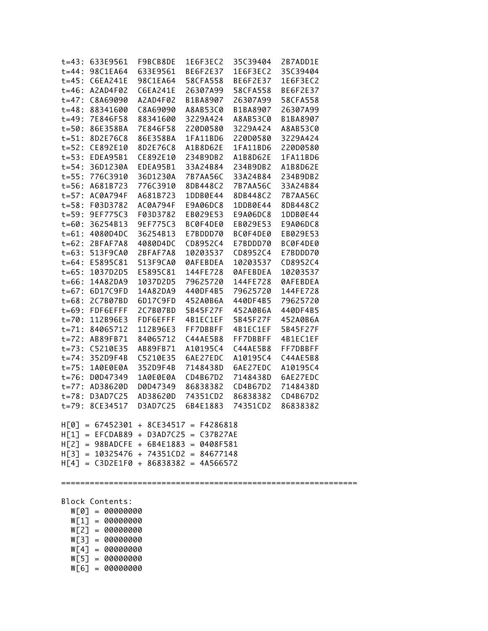| t=43: 633E9561 F9BCB8DE                 |          | 1E6F3EC2 | 35C39404 | 2B7ADD1E        |  |
|-----------------------------------------|----------|----------|----------|-----------------|--|
| $t = 44: 98C1EA64$                      | 633E9561 | BE6F2E37 | 1E6F3EC2 | 35C39404        |  |
| $t=45: C6EA241E$                        | 98C1EA64 | 58CFA558 | BE6F2E37 | 1E6F3EC2        |  |
| $t = 46$ : A2AD4F02                     | C6EA241E | 26307A99 | 58CFA558 | BE6F2E37        |  |
| $t=47: C8A69090$                        | A2AD4F02 | B1BA8907 | 26307A99 | 58CFA558        |  |
| $t=48: 88341600$                        | C8A69090 | A8AB53C0 | B1BA8907 | 26307A99        |  |
| $t=49: 7E846F58$                        | 88341600 | 3229A424 | A8AB53C0 | B1BA8907        |  |
| t=50: 86E358BA                          | 7E846F58 | 220D0580 | 3229A424 | A8AB53C0        |  |
| $t = 51: 8D2E76C8$                      | 86E358BA | 1FA11BD6 | 220D0580 | 3229A424        |  |
| $t = 52: CE892E10$                      | 8D2E76C8 | A1B8D62E | 1FA11BD6 | 220D0580        |  |
| $t=53$ : EDEA95B1                       | CE892E10 | 234B9DB2 | A1B8D62E | 1FA11BD6        |  |
| $t = 54: 36D1230A$                      | EDEA95B1 | 33A24B84 | 234B9DB2 | A1B8D62E        |  |
| t=55: 776C3910                          | 36D1230A | 7B7AA56C | 33A24B84 | 234B9DB2        |  |
| $t = 56$ : A681B723                     | 776C3910 | 8DB448C2 | 7B7AA56C | 33A24B84        |  |
| $t=57$ : AC0A794F                       | A681B723 | 1DDB0E44 | 8DB448C2 | 7B7AA56C        |  |
| $t = 58: F03D3782$                      | AC0A794F | E9A06DC8 | 1DDB0E44 | 8DB448C2        |  |
| $t = 59: 9E F 775C3$                    | F03D3782 | EB029E53 | E9A06DC8 | 1DDB0E44        |  |
| $t = 60: 36254B13$                      | 9EF775C3 | BC0F4DE0 | EB029E53 | E9A06DC8        |  |
| $t = 61: 4080D4DC$                      | 36254B13 | E7BDDD70 | BC0F4DE0 | EB029E53        |  |
| $t=62: 2BFAF7A8$                        | 4080D4DC | CD8952C4 | E7BDDD70 | BC0F4DE0        |  |
| $t = 63: 513F9CA0$                      | 2BFAF7A8 | 10203537 | CD8952C4 | E7BDDD70        |  |
| $t=64: E5895C81$                        | 513F9CA0 | 0AFEBDEA | 10203537 | CD8952C4        |  |
| $t=65: 1037D2D5$                        | E5895C81 | 144FE728 | 0AFEBDEA | 10203537        |  |
| $t = 66: 14A82DA9$                      | 1037D2D5 | 79625720 | 144FE728 | <b>ØAFEBDEA</b> |  |
| $t = 67: 6D17C9FD$                      | 14A82DA9 | 440DF4B5 | 79625720 | 144FE728        |  |
| t=68: 2C7B07BD                          | 6D17C9FD | 452A0B6A | 440DF4B5 | 79625720        |  |
| $t=69$ : FDF6EFFF                       | 2C7B07BD | 5B45F27F | 452A0B6A | 440DF4B5        |  |
| $t = 70: 112B96E3$                      | FDF6EFFF | 4B1EC1EF | 5B45F27F | 452A0B6A        |  |
| $t = 71: 84065712$                      | 112B96E3 | FF7DBBFF | 4B1EC1EF | 5B45F27F        |  |
| $t = 72$ : AB89FB71                     | 84065712 | C44AE5B8 | FF7DBBFF | 4B1EC1EF        |  |
| $t=73$ : $C5210E35$                     | AB89FB71 | A10195C4 | C44AE5B8 | FF7DBBFF        |  |
| $t = 74: 352D9F4B$                      | C5210E35 | 6AE27EDC | A10195C4 | C44AE5B8        |  |
| $t = 75: 1A0E0E0A$                      | 352D9F4B | 7148438D | 6AE27EDC | A10195C4        |  |
| $t = 76$ : D0D47349                     | 1A0E0E0A | CD4B67D2 | 7148438D | 6AE27EDC        |  |
| $t = 77$ : AD38620D                     | D0D47349 | 86838382 | CD4B67D2 | 7148438D        |  |
| $t = 78: D3AD7C25$                      | AD38620D | 74351CD2 | 86838382 | CD4B67D2        |  |
| $t = 79: 8CE34517$                      | D3AD7C25 | 6B4E1883 | 74351CD2 | 86838382        |  |
|                                         |          |          |          |                 |  |
| $H[0] = 67452301 + 8CE34517 = F4286818$ |          |          |          |                 |  |
| H[1] = EFCDAB89 + D3AD7C25 = C37B27AE   |          |          |          |                 |  |
| H[2] = 98BADCFE + 6B4E1883 = 0408F581   |          |          |          |                 |  |
| $H[3] = 10325476 + 74351CD2 = 84677148$ |          |          |          |                 |  |
| $H[4] = C3D2E1F0 + 86838382 = 4A566572$ |          |          |          |                 |  |
|                                         |          |          |          |                 |  |
|                                         |          |          |          |                 |  |
|                                         |          |          |          |                 |  |
| Block Contents:                         |          |          |          |                 |  |
| $W[0] = 00000000$                       |          |          |          |                 |  |
| $W[1] = 00000000$                       |          |          |          |                 |  |
| $W[2] = 00000000$                       |          |          |          |                 |  |
|                                         |          |          |          |                 |  |
| $W[3] = 00000000$                       |          |          |          |                 |  |

 W[5] = 00000000 W[6] = 00000000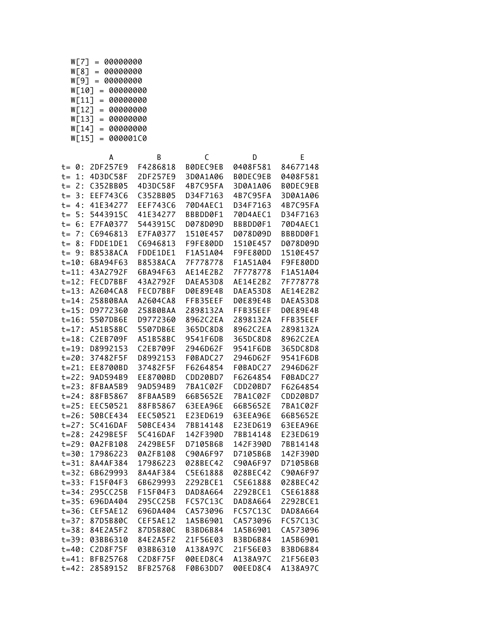| W[7]<br>$=$ |     | 00000000   |          |  |
|-------------|-----|------------|----------|--|
| W[8]        | $=$ | 00000000   |          |  |
| Wſ91        | $=$ | 00000000   |          |  |
| WΓ107       |     | = 00000000 |          |  |
| W「11ๅ       | $=$ |            | 00000000 |  |
| W「12ๅ       | $=$ |            | 00000000 |  |
| W[13]       | $=$ |            | 00000000 |  |
| WΓ14]       | $=$ |            | 00000000 |  |
| W「15ๅ       | $=$ |            | 000001C0 |  |

|             | A               | B               | C        | D               | Ε               |
|-------------|-----------------|-----------------|----------|-----------------|-----------------|
| $t = 0:$    | 2DF257E9        | F4286818        | B0DEC9EB | 0408F581        | 84677148        |
| 1:<br>$t =$ | 4D3DC58F        | 2DF257E9        | 3D0A1A06 | B0DEC9EB        | 0408F581        |
| $t = 2:$    | C352BB05        | 4D3DC58F        | 4B7C95FA | 3D0A1A06        | B0DEC9EB        |
| $t = 3:$    | EEF743C6        | C352BB05        | D34F7163 | 4B7C95FA        | 3D0A1A06        |
| $t = 4:$    | 41E34277        | EEF743C6        | 70D4AEC1 | D34F7163        | 4B7C95FA        |
| $t = 5:$    | 5443915C        | 41E34277        | BBBDD0F1 | 70D4AEC1        | D34F7163        |
| $t = 6:$    | E7FA0377        | 5443915C        | D078D09D | BBBDD0F1        | 70D4AEC1        |
| $t = 7:$    | C6946813        | E7FA0377        | 1510E457 | D078D09D        | BBBDD0F1        |
| $t = 8:$    | FDDE1DE1        | C6946813        | F9FE80DD | 1510E457        | D078D09D        |
| $t = 9:$    | <b>B8538ACA</b> | FDDE1DE1        | F1A51A04 | F9FE80DD        | 1510E457        |
| $t = 10$ :  | 6BA94F63        | <b>B8538ACA</b> | 7F778778 | F1A51A04        | F9FE80DD        |
| $t = 11$ :  | 43A2792F        | 6BA94F63        | AE14E2B2 | 7F778778        | F1A51A04        |
| $t = 12:$   | FECD7BBF        | 43A2792F        | DAEA53D8 | AE14E2B2        | 7F778778        |
| $t = 13:$   | A2604CA8        | FECD7BBF        | D0E89E4B | DAEA53D8        | AE14E2B2        |
| $t = 14$ :  | 258B0BAA        | A2604CA8        | FFB35EEF | D0E89E4B        | DAEA53D8        |
| $t = 15:$   | D9772360        | 258B0BAA        | 2898132A | FFB35EEF        | D0E89E4B        |
| $t = 16:$   | 5507DB6E        | D9772360        | 8962C2EA | 2898132A        | FFB35EEF        |
| $t = 17:$   | A51B58BC        | 5507DB6E        | 365DC8D8 | 8962C2EA        | 2898132A        |
| $t = 18:$   | C2EB709F        | A51B58BC        | 9541F6DB | 365DC8D8        | 8962C2EA        |
| $t = 19:$   | D8992153        | C2EB709F        | 2946D62F | 9541F6DB        | 365DC8D8        |
| $t = 20:$   | 37482F5F        | D8992153        | F0BADC27 | 2946D62F        | 9541F6DB        |
| $t = 21:$   | EE8700BD        | 37482F5F        | F6264854 | F0BADC27        | 2946D62F        |
| $t = 22:$   | 9AD594B9        | EE8700BD        | CDD20BD7 | F6264854        | F0BADC27        |
| $t = 23:$   | 8FBAA5B9        | 9AD594B9        | 7BA1C02F | CDD20BD7        | F6264854        |
| $t = 24:$   | 88FB5867        | 8FBAA5B9        | 66B5652E | 7BA1C02F        | CDD20BD7        |
| $t = 25:$   | EEC50521        | 88FB5867        | 63EEA96E | 66B5652E        | 7BA1C02F        |
| $t = 26:$   | 50BCE434        | EEC50521        | E23ED619 | 63EEA96E        | 66B5652E        |
| $t = 27:$   | 5C416DAF        | 50BCE434        | 7BB14148 | E23ED619        | 63EEA96E        |
| $t = 28:$   | 2429BE5F        | 5C416DAF        | 142F390D | 7BB14148        | E23ED619        |
| $t = 29:$   | 0A2FB108        | 2429BE5F        | D7105B6B | 142F390D        | 7BB14148        |
| $t = 30:$   | 17986223        | 0A2FB108        | C90A6F97 | D7105B6B        | 142F390D        |
| $t = 31:$   | 8A4AF384        | 17986223        | 028BEC42 | C90A6F97        | D7105B6B        |
| $t = 32:$   | 6B629993        | 8A4AF384        | C5E61888 | 028BEC42        | C90A6F97        |
| $t = 33:$   | F15F04F3        | 6B629993        | 2292BCE1 | C5E61888        | 028BEC42        |
| $t = 34:$   | 295CC25B        | F15F04F3        | DAD8A664 | 2292BCE1        | C5E61888        |
| $t = 35:$   | 696DA404        | 295CC25B        | FC57C13C | DAD8A664        | 2292BCE1        |
| $t = 36:$   | CEF5AE12        | 696DA404        | CA573096 | FC57C13C        | DAD8A664        |
| $t = 37:$   | 87D5B80C        | CEF5AE12        | 1A5B6901 | CA573096        | FC57C13C        |
| $t = 38:$   | 84E2A5F2        | 87D5B80C        | B3BD6B84 | 1A5B6901        | CA573096        |
| $t = 39:$   | 03BB6310        | 84E2A5F2        | 21F56E03 | <b>B3BD6B84</b> | 1A5B6901        |
| $t = 40:$   | C2D8F75F        | 03BB6310        | A138A97C | 21F56E03        | <b>B3BD6B84</b> |
| $t = 41:$   | BFB25768        | C2D8F75F        | 00EED8C4 | A138A97C        | 21F56E03        |
| $t = 42:$   | 28589152        | BFB25768        | F0B63DD7 | 00EED8C4        | A138A97C        |